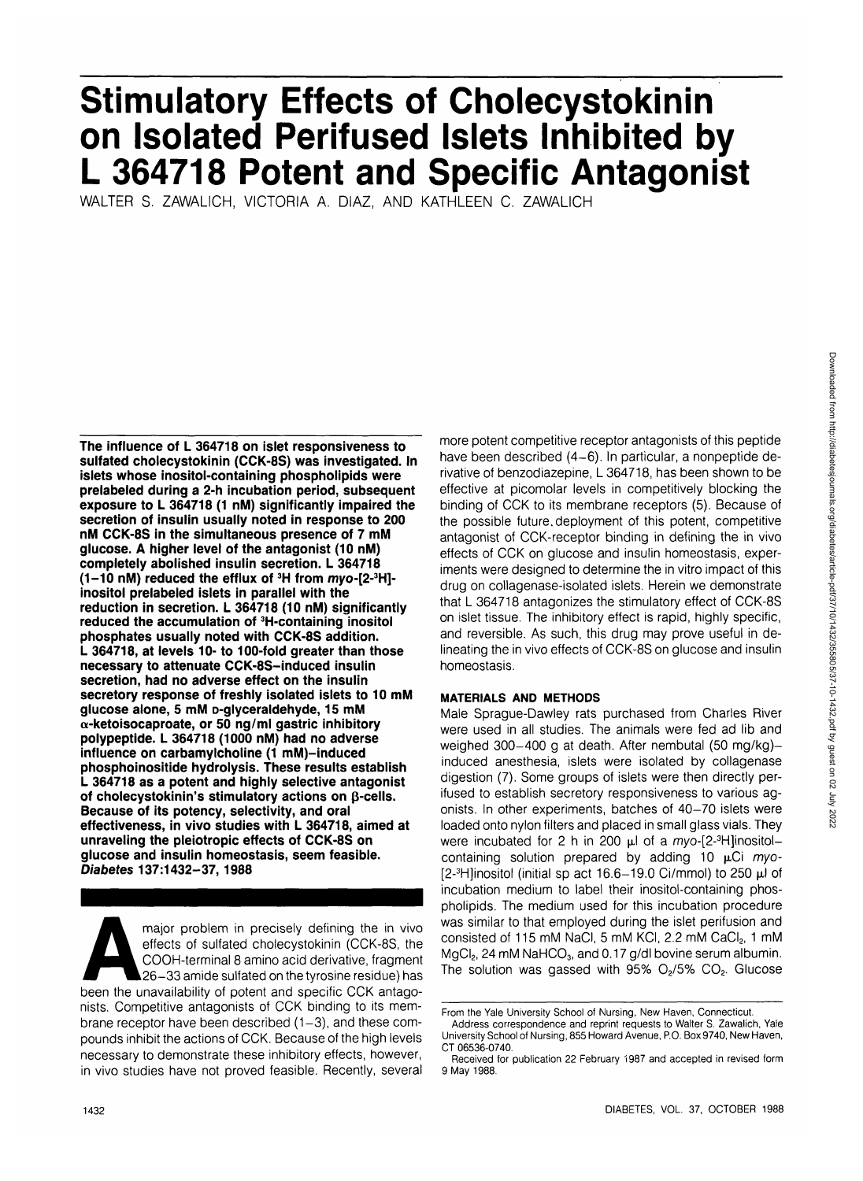# **Stimulatory Effects of Cholecystokinin on Isolated Perifused Islets Inhibited by L 364718 Potent and Specific Antagonist**

WALTER S. ZAWALICH, VICTORIA A. DIAZ, AND KATHLEEN C. ZAWALICH

**The influence of L 364718 on islet responsiveness to sulfated cholecystokinin (CCK-8S) was investigated. In islets whose inositol-containing phospholipids were prelabeled during a 2-h incubation period, subsequent exposure to L 364718 (1 nM) significantly impaired the secretion of insulin usually noted in response to 200 nM CCK-8S in the simultaneous presence of 7 mM glucose. A higher level of the antagonist (10 nM) completely abolished insulin secretion. L 364718 (1-10 nM) reduced the efflux of 3H from myo-[2-3 H] inositol prelabeled islets in parallel with the reduction in secretion. L 364718 (10 nM) significantly reduced the accumulation of 3H-containing inositol phosphates usually noted with CCK-8S addition. L 364718, at levels 10- to 100-fold greater than those necessary to attenuate CCK-8S-induced insulin secretion, had no adverse effect on the insulin secretory response of freshly isolated islets to 10 mM glucose alone, 5 mM D-glyceraldehyde, 15 mM a-ketoisocaproate, or 50 ng/ml gastric inhibitory polypeptide. L 364718 (1000 nM) had no adverse influence on carbamylcholine (1 mM)-induced phosphoinositide hydrolysis. These results establish L 364718 as a potent and highly selective antagonist of cholecystokinin's stimulatory actions on p-cells. Because of its potency, selectivity, and oral effectiveness, in vivo studies with L 364718, aimed at unraveling the pleiotropic effects of CCK-8S on glucose and insulin homeostasis, seem feasible. Diabetes 137:1432-37, 1988**

major problem in precisely defining the in vivo<br>
effects of sulfated cholecystokinin (CCK-8S, the<br>
COOH-terminal 8 amino acid derivative, fragment<br>
26-33 amide sulfated on the tyrosine residue) has<br>
been the unavailability effects of sulfated cholecystokinin (CCK-8S, the COOH-terminal 8 amino acid derivative, fragment 26-33 amide sulfated on the tyrosine residue) has nists. Competitive antagonists of CCK binding to its membrane receptor have been described  $(1-3)$ , and these compounds inhibit the actions of CCK. Because of the high levels necessary to demonstrate these inhibitory effects, however, in vivo studies have not proved feasible. Recently, several

more potent competitive receptor antagonists of this peptide have been described (4-6). In particular, a nonpeptide derivative of benzodiazepine, L 364718, has been shown to be effective at picomolar levels in competitively blocking the binding of CCK to its membrane receptors (5). Because of the possible future, deployment of this potent, competitive antagonist of CCK-receptor binding in defining the in vivo effects of CCK on glucose and insulin homeostasis, experiments were designed to determine the in vitro impact of this drug on collagenase-isolated islets. Herein we demonstrate that L 364718 antagonizes the stimulatory effect of CCK-8S on islet tissue. The inhibitory effect is rapid, highly specific, and reversible. As such, this drug may prove useful in delineating the in vivo effects of CCK-8S on glucose and insulin homeostasis.

# **MATERIALS AND METHODS**

Male Sprague-Dawley rats purchased from Charles River were used in all studies. The animals were fed ad lib and weighed 300-400 g at death. After nembutal (50 mg/kg) induced anesthesia, islets were isolated by collagenase digestion (7). Some groups of islets were then directly perifused to establish secretory responsiveness to various agonists. In other experiments, batches of 40-70 islets were loaded onto nylon filters and placed in small glass vials. They were incubated for 2 h in 200  $\mu$ l of a myo-[2-3H]inositolcontaining solution prepared by adding 10  $\mu$ Ci myo-[2- $3$ H]inositol (initial sp act 16.6-19.0 Ci/mmol) to 250  $\mu$ l of incubation medium to label their inositol-containing phospholipids. The medium used for this incubation procedure was similar to that employed during the islet perifusion and consisted of 115 mM NaCl, 5 mM KCl, 2.2 mM CaCl<sub>2</sub>, 1 mM MgCl<sub>2</sub>, 24 mM NaHCO<sub>3</sub>, and 0.17 g/dl bovine serum albumin. The solution was gassed with  $95\%$  O<sub>2</sub>/5% CO<sub>2</sub>. Glucose

From the Yale University School of Nursing, New Haven, Connecticut.

Address correspondence and reprint requests to Walter S. Zawalich, Yale University School of Nursing, 855 Howard Avenue, P.O. Box 9740, New Haven, CT 06536-0740.

Received for publication 22 February 1987 and accepted in revised form 9 May 1988.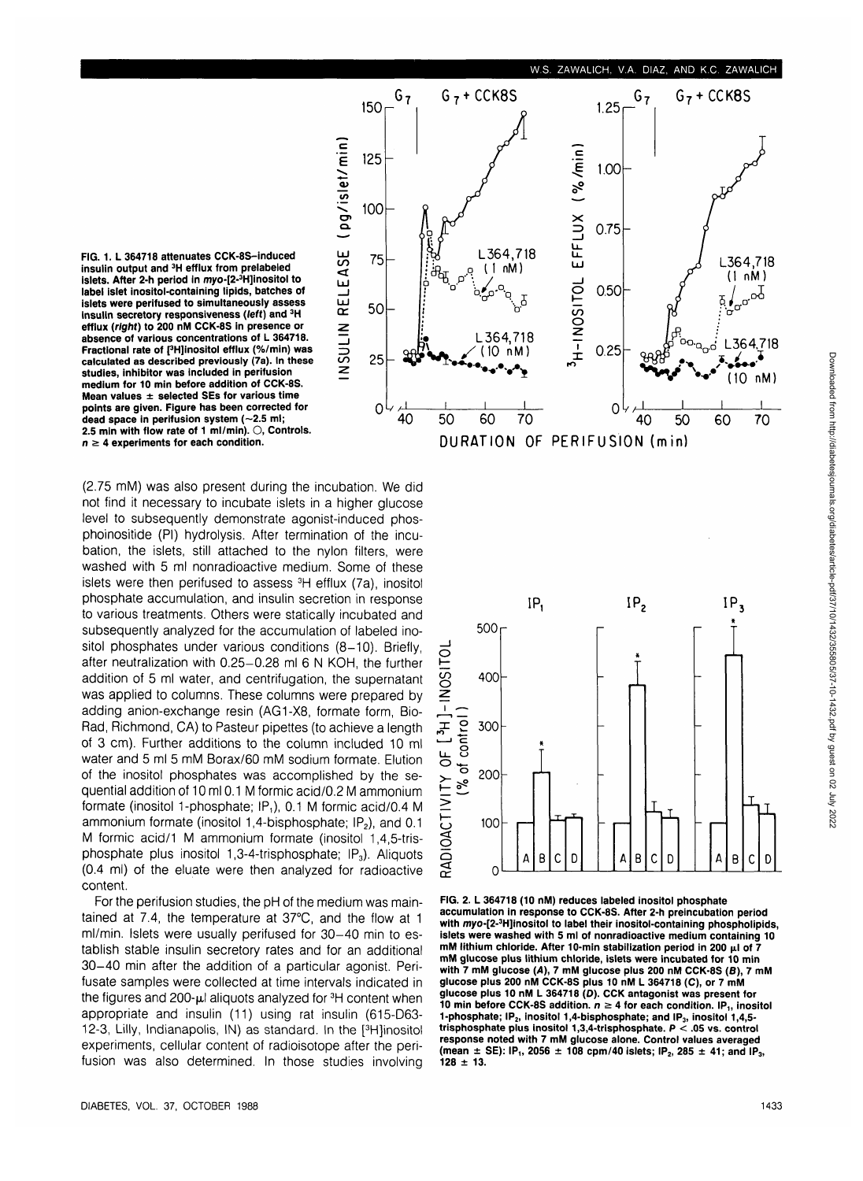

**FIG. 1. L 364718 attenuates CCK-8S-induced insulin output and 3H efflux from prelabeled islets. After 2-h period in myo-[2-3 H]inositol to label islet inositol-containing lipids, batches of islets were perifused to simultaneously assess insulin secretory responsiveness (left) and 3H efflux (right) to 200 nM CCK-8S in presence or absence of various concentrations of L 364718. Fractional rate of [3 H]inositol efflux (%/min) was calculated as described previously (7a). In these studies, inhibitor was included in perifusion medium for 10 min before addition of CCK-8S. Mean values ± selected SEs for various time points are given. Figure has been corrected for** dead space in perifusion system (~2.5 ml; **2.5 min with flow rate of 1 ml/min). O, Controls,**  $n \geq 4$  experiments for each condition.

(2.75 mM) was also present during the incubation. We did not find it necessary to incubate islets in a higher glucose level to subsequently demonstrate agonist-induced phosphoinositide (PI) hydrolysis. After termination of the incubation, the islets, still attached to the nylon filters, were washed with 5 ml nonradioactive medium. Some of these islets were then perifused to assess 3H efflux (7a), inositol phosphate accumulation, and insulin secretion in response to various treatments. Others were statically incubated and subsequently analyzed for the accumulation of labeled inositol phosphates under various conditions (8-10). Briefly, after neutralization with 0.25-0.28 ml 6 N KOH, the further addition of 5 ml water, and centrifugation, the supernatant was applied to columns. These columns were prepared by adding anion-exchange resin (AG1-X8, formate form, Bio-Rad, Richmond, CA) to Pasteur pipettes (to achieve a length of 3 cm). Further additions to the column included 10 ml water and 5 ml 5 mM Borax/60 mM sodium formate. Elution of the inositol phosphates was accomplished by the sequential addition of 10 ml 0.1 M formic acid/0.2 M ammonium formate (inositol 1-phosphate; IP,), 0.1 M formic acid/0.4 M ammonium formate (inositol 1,4-bisphosphate;  $IP<sub>2</sub>$ ), and 0.1 M formic acid/1 M ammonium formate (inositol 1,4,5-trisphosphate plus inositol 1,3-4-trisphosphate;  $IP_3$ ). Aliquots (0.4 ml) of the eluate were then analyzed for radioactive content.

For the perifusion studies, the pH of the medium was maintained at 7.4, the temperature at 37°C, and the flow at 1 ml/min. Islets were usually perifused for 30-40 min to establish stable insulin secretory rates and for an additional 30-40 min after the addition of a particular agonist. Perifusate samples were collected at time intervals indicated in the figures and 200-µl aliquots analyzed for <sup>3</sup>H content when appropriate and insulin (11) using rat insulin (615-D63- 12-3, Lilly, Indianapolis, IN) as standard. In the [<sup>3</sup>H]inositol experiments, cellular content of radioisotope after the perifusion was also determined. In those studies involving



**FIG. 2. L 364718 (10 nM) reduces labeled inositol phosphate accumulation in response to CCK-8S. After 2-h preincubation period with myo-[2-3 H]inositol to label their inositol-containing phospholipids, islets were washed with 5 ml of nonradioactive medium containing 10** mM lithium chloride. After 10-min stabilization period in 200 μl of 7 **mM glucose plus lithium chloride, islets were incubated for 10 min with 7 mM glucose (A), 7 mM glucose plus 200 nM CCK-8S (8), 7 mM glucose plus 200 nM CCK-8S plus 10 nM L 364718 (C), or 7 mM glucose plus 10 nM L 364718 (D). CCK antagonist was present for 10 min before CCK-8S addition.**  $n \geq 4$  for each condition. IP<sub>1</sub>, inositol **1-phosphate; IP2, inositol 1,4-bisphosphate; and IP3, inositol 1,4,5 trisphosphate plus inositol 1,3,4-trisphosphate. P < .05 vs. control response noted with 7 mM glucose alone. Control values averaged** (mean  $\pm$  SE): IP<sub>1</sub>, 2056  $\pm$  108 cpm/40 islets; IP<sub>2</sub>, 285  $\pm$  41; and IP<sub>3</sub>, **128 ± 13.**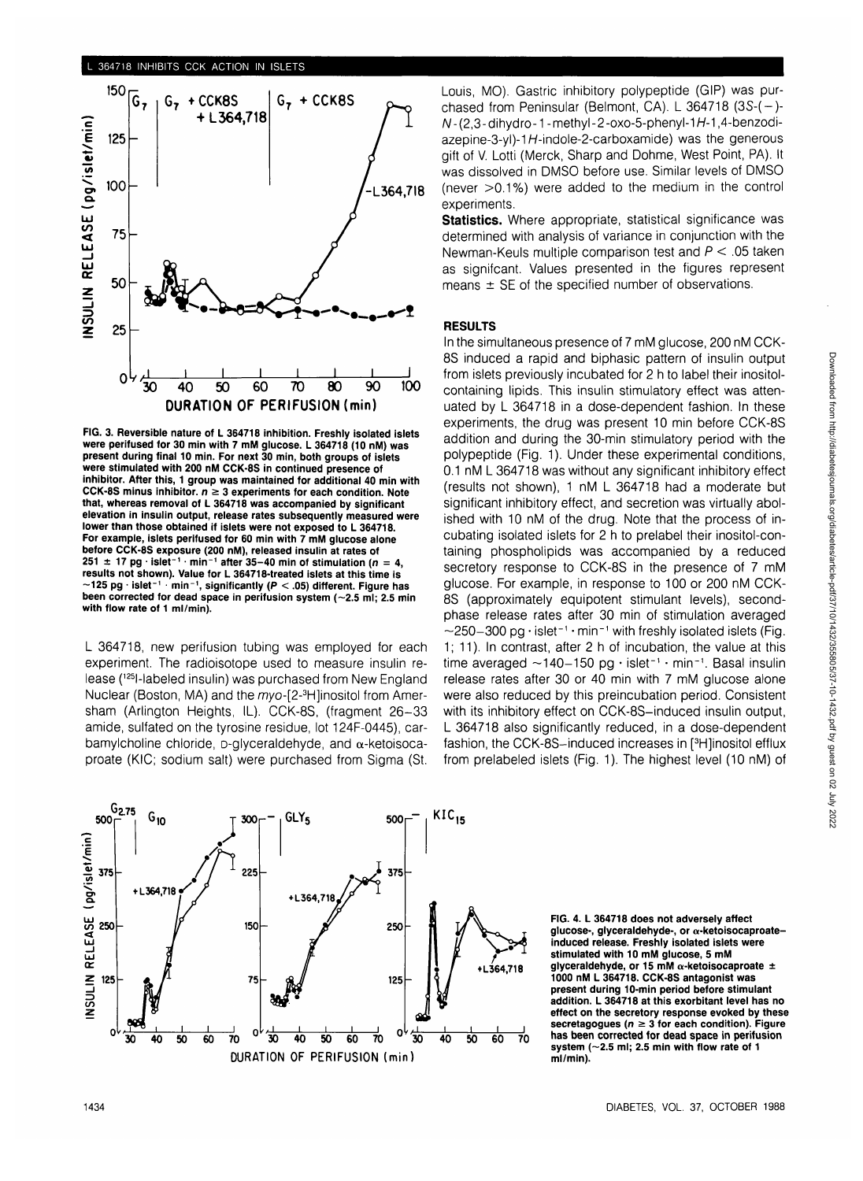

**FIG. 3. Reversible nature of L 364718 inhibition. Freshly isolated islets were perifused for 30 min with 7 mM glucose. L 364718 (10 nM) was present during final 10 min. For next 30 min, both groups of islets were stimulated with 200 nM CCK-8S in continued presence of inhibitor. After this, 1 group was maintained for additional 40 min with** CCK-8S minus inhibitor.  $n \geq 3$  experiments for each condition. Note **that, whereas removal of L 364718 was accompanied by significant elevation in insulin output, release rates subsequently measured were lower than those obtained if islets were not exposed to L 364718. For example, islets perifused for 60 min with 7 mM glucose alone before CCK-8S exposure (200 nM), released insulin at rates of**  $251 \pm 17$  pg  $\cdot$  islet<sup>-1</sup>  $\cdot$  min<sup>-1</sup> after 35-40 min of stimulation (n = 4, **results not shown). Value for L 364718-treated islets at this time is -125 pg • islet"<sup>1</sup> min"<sup>1</sup> , significantly (P < .05) different. Figure has** been corrected for dead space in perifusion system (~2.5 ml; 2.5 min **with flow rate of 1 ml/min).**

L 364718, new perifusion tubing was employed for each experiment. The radioisotope used to measure insulin release (125l-labeled insulin) was purchased from New England Nuclear (Boston, MA) and the myo-[2-<sup>3</sup>H]inositol from Amersham (Arlington Heights, IL). CCK-8S, (fragment 26-33 amide, sulfated on the tyrosine residue, lot 124F-0445), carbamylcholine chloride,  $D$ -glyceraldehyde, and  $\alpha$ -ketoisocaproate (KIC; sodium salt) were purchased from Sigma (St. Louis, MO). Gastric inhibitory polypeptide (GIP) was purchased from Peninsular (Belmont, CA). L  $364718$  ( $3S-(-)$ - $N - (2.3 - dihydro - 1 - methvl - 2 - oxo - 5 - phenyl - 1H - 1, 4 - benzodi$ azepine-3-yl)-1 $H$ -indole-2-carboxamide) was the generous gift of V. Lotti (Merck, Sharp and Dohme, West Point, PA). It was dissolved in DMSO before use. Similar levels of DMSO (never  $>0.1\%$ ) were added to the medium in the control experiments.

**Statistics.** Where appropriate, statistical significance was determined with analysis of variance in conjunction with the Newman-Keuls multiple comparison test and  $P < .05$  taken as signifcant. Values presented in the figures represent means  $\pm$  SE of the specified number of observations.

## **RESULTS**

In the simultaneous presence of 7 mM glucose, 200 nM CCK-8S induced a rapid and biphasic pattern of insulin output from islets previously incubated for 2 h to label their inositolcontaining lipids. This insulin stimulatory effect was attenuated by L 364718 in a dose-dependent fashion. In these experiments, the drug was present 10 min before CCK-8S addition and during the 30-min stimulatory period with the polypeptide (Fig. 1). Under these experimental conditions, 0.1 nM L 364718 was without any significant inhibitory effect (results not shown), 1 nM L 364718 had a moderate but significant inhibitory effect, and secretion was virtually abolished with 10 nM of the drug. Note that the process of incubating isolated islets for 2 h to prelabel their inositol-containing phospholipids was accompanied by a reduced secretory response to CCK-8S in the presence of 7 mM glucose. For example, in response to 100 or 200 nM CCK-8S (approximately equipotent stimulant levels), secondphase release rates after 30 min of stimulation averaged  $\sim$ 250–300 pg  $\cdot$  islet $^{-1} \cdot$ min $^{-1}$  with freshly isolated islets (Fig. 1; 11). In contrast, after 2 h of incubation, the value at this time averaged  $\sim$ 140-150 pg · islet<sup>-1</sup> · min<sup>-1</sup>. Basal insulin release rates after 30 or 40 min with 7 mM glucose alone were also reduced by this preincubation period. Consistent with its inhibitory effect on CCK-8S-induced insulin output, L 364718 also significantly reduced, in a dose-dependent fashion, the CCK-8S-induced increases in [<sup>3</sup>H]inositol efflux from prelabeled islets (Fig. 1). The highest level (10 nM) of



**FIG. 4. L 364718 does not adversely affect glucose-, glyceraldehyde-, or a-ketoisocaproateinduced release. Freshly isolated islets were stimulated with 10 mM glucose, 5 mM glyceraldehyde, or 15 mM a-ketoisocaproate ± 1000 nM L 364718. CCK-8S antagonist was present during 10-min period before stimulant addition. L 364718 at this exorbitant level has no effect on the secretory response evoked by these** secretagogues ( $n \geq 3$  for each condition). Figure **has been corrected for dead space in perifusion** system  $(-2.5$  ml; 2.5 min with flow rate of 1 **ml/min).**

Downloaded from http://diabetesjournals.org/diabetes/article-pdf/37/10/1432/355805/37-10-1432.pdf by guest on 02 July 2022

Downloaded from http://diabetesjournals.org/diabetes/article-pdf/37/10/1432/355805/37-10-1432.pdf by guest on 02 July 2022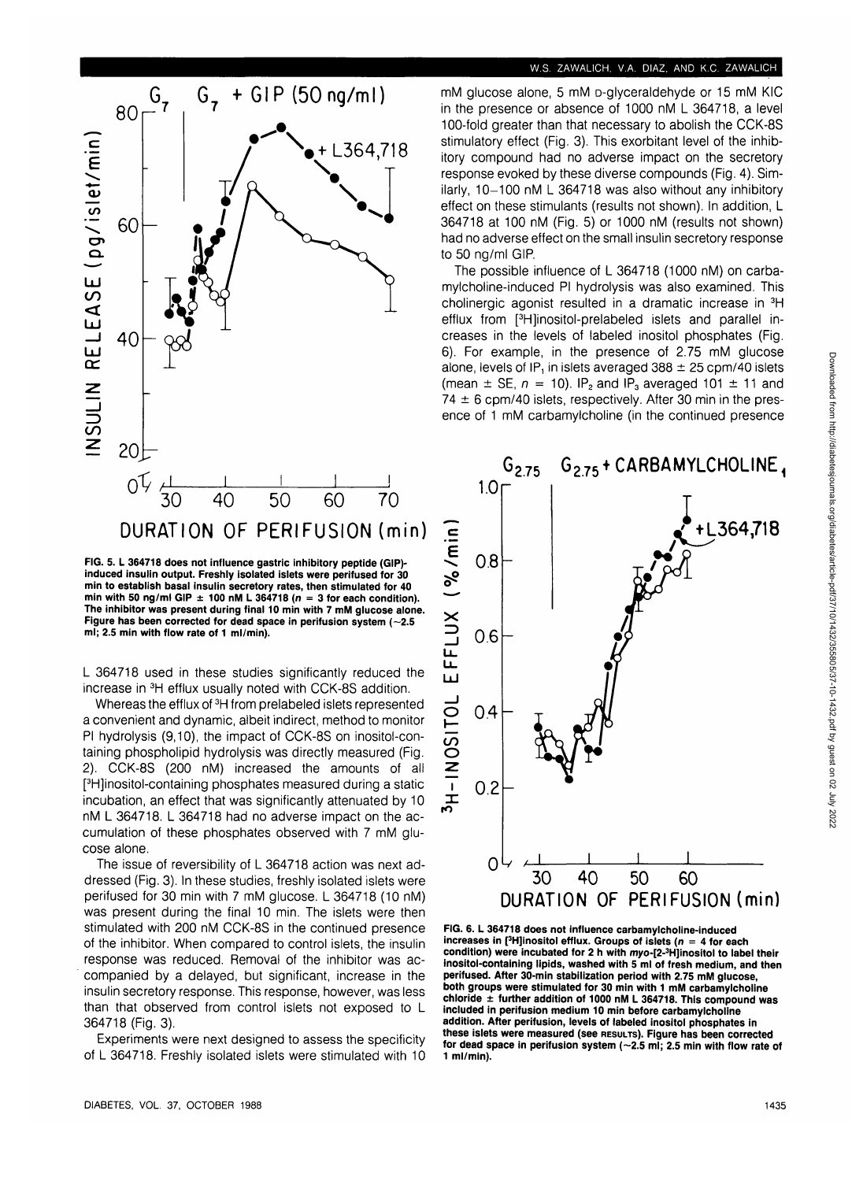

**FIG. 5. L 364718 does not influence gastric inhibitory peptide (GIP) induced insulin output. Freshly isolated islets were perifused for 30 min to establish basal insulin secretory rates, then stimulated for 40** min with 50 ng/ml GIP  $\pm$  100 nM L 364718 ( $n = 3$  for each condition). **The inhibitor was present during final 10 min with 7 mM glucose alone. Figure has been corrected for dead space in perifusion system (~2.5 ml; 2.5 min with flow rate of 1 ml/min).**

L 364718 used in these studies significantly reduced the increase in 3H efflux usually noted with CCK-8S addition.

Whereas the efflux of <sup>3</sup>H from prelabeled islets represented a convenient and dynamic, albeit indirect, method to monitor PI hydrolysis (9,10), the impact of CCK-8S on inositol-containing phospholipid hydrolysis was directly measured (Fig. 2). CCK-8S (200 nM) increased the amounts of all [ 3 H]inositol-containing phosphates measured during a static incubation, an effect that was significantly attenuated by 10 nM L 364718. L 364718 had no adverse impact on the accumulation of these phosphates observed with 7 mM glucose alone.

The issue of reversibility of L 364718 action was next addressed (Fig. 3). In these studies, freshly isolated islets were perifused for 30 min with 7 mM glucose. L 364718 (10 nM) was present during the final 10 min. The islets were then stimulated with 200 nM CCK-8S in the continued presence of the inhibitor. When compared to control islets, the insulin response was reduced. Removal of the inhibitor was accompanied by a delayed, but significant, increase in the insulin secretory response. This response, however, was less than that observed from control islets not exposed to L 364718 (Fig. 3).

Experiments were next designed to assess the specificity of L 364718. Freshly isolated islets were stimulated with 10

#### **W.S. ZAWALICH, V.A. DIAZ, AND K.C. ZAWALICH**

mM glucose alone, 5 mM D-glyceraldehyde or 15 mM KIC in the presence or absence of 1000 nM L 364718, a level 100-fold greater than that necessary to abolish the CCK-8S stimulatory effect (Fig. 3). This exorbitant level of the inhibitory compound had no adverse impact on the secretory response evoked by these diverse compounds (Fig. 4). Similarly, 10-100 nM L 364718 was also without any inhibitory effect on these stimulants (results not shown). In addition, L 364718 at 100 nM (Fig. 5) or 1000 nM (results not shown) had no adverse effect on the small insulin secretory response to 50 ng/ml GIP.

The possible influence of L 364718 (1000 nM) on carbamylcholine-induced PI hydrolysis was also examined. This cholinergic agonist resulted in a dramatic increase in 3H efflux from [<sup>3</sup>H]inositol-prelabeled islets and parallel increases in the levels of labeled inositol phosphates (Fig. 6). For example, in the presence of 2.75 mM glucose alone, levels of IP, in islets averaged  $388 \pm 25$  cpm/40 islets (mean  $\pm$  SE,  $n = 10$ ). IP<sub>2</sub> and IP<sub>3</sub> averaged 101  $\pm$  11 and  $74 \pm 6$  cpm/40 islets, respectively. After 30 min in the presence of 1 mM carbamylcholine (in the continued presence



**FIG. 6. L 364718 does not influence carbamylcholine-induced increases in [3 H]inositol efflux. Groups of islets (n = 4 for each condition) were incubated for 2 h with myo-[2-3 H]inositol to label their inositol-containing lipids, washed with 5 ml of fresh medium, and then perifused. After 30-min stabilization period with 2.75 mM glucose, both groups were stimulated for 30 min with 1 mM carbamylcholine chloride ± further addition of 1000 nM L 364718. This compound was included in perifusion medium 10 min before carbamylcholine addition. After perifusion, levels of labeled inositol phosphates in these islets were measured (see RESULTS). Figure has been corrected** for dead space in perifusion system (~2.5 ml; 2.5 min with flow rate of **1 ml/min).**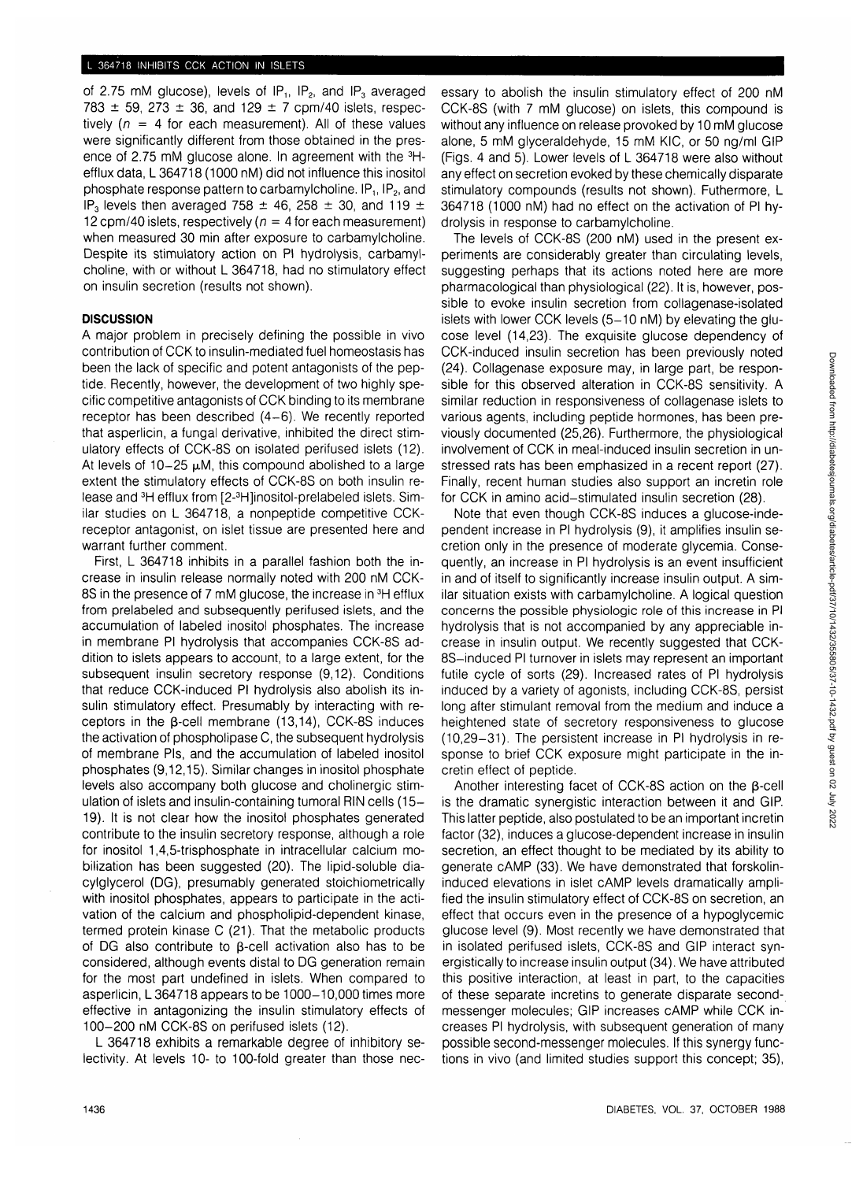of 2.75 mM glucose), levels of  $IP_1$ ,  $IP_2$ , and  $IP_3$  averaged 783  $\pm$  59, 273  $\pm$  36, and 129  $\pm$  7 cpm/40 islets, respectively ( $n = 4$  for each measurement). All of these values were significantly different from those obtained in the presence of 2.75 mM glucose alone. In agreement with the 3Hefflux data, L 364718 (1000 nM) did not influence this inositol phosphate response pattern to carbamylcholine.  $IP_1$ ,  $IP_2$ , and IP<sub>3</sub> levels then averaged 758  $\pm$  46, 258  $\pm$  30, and 119  $\pm$ 12 cpm/40 islets, respectively ( $n = 4$  for each measurement) when measured 30 min after exposure to carbamylcholine. Despite its stimulatory action on PI hydrolysis, carbamylcholine, with or without L 364718, had no stimulatory effect on insulin secretion (results not shown).

### **DISCUSSION**

A major problem in precisely defining the possible in vivo contribution of CCK to insulin-mediated fuel homeostasis has been the lack of specific and potent antagonists of the peptide. Recently, however, the development of two highly specific competitive antagonists of CCK binding to its membrane receptor has been described (4-6). We recently reported that asperlicin, a fungal derivative, inhibited the direct stimulatory effects of CCK-8S on isolated perifused islets (12). At levels of  $10-25 \mu M$ , this compound abolished to a large extent the stimulatory effects of CCK-8S on both insulin release and <sup>3</sup>H efflux from [2-<sup>3</sup>H]inositol-prelabeled islets. Similar studies on L 364718, a nonpeptide competitive CCKreceptor antagonist, on islet tissue are presented here and warrant further comment.

First, L 364718 inhibits in a parallel fashion both the increase in insulin release normally noted with 200 nM CCK-8S in the presence of 7 mM glucose, the increase in <sup>3</sup>H efflux from prelabeled and subsequently perifused islets, and the accumulation of labeled inositol phosphates. The increase in membrane PI hydrolysis that accompanies CCK-8S addition to islets appears to account, to a large extent, for the subsequent insulin secretory response (9,12). Conditions that reduce CCK-induced PI hydrolysis also abolish its insulin stimulatory effect. Presumably by interacting with receptors in the  $\beta$ -cell membrane (13,14), CCK-8S induces the activation of phospholipase C, the subsequent hydrolysis of membrane Pis, and the accumulation of labeled inositol phosphates (9,12,15). Similar changes in inositol phosphate levels also accompany both glucose and cholinergic stimulation of islets and insulin-containing tumoral RIN cells (15- 19). It is not clear how the inositol phosphates generated contribute to the insulin secretory response, although a role for inositol 1,4,5-trisphosphate in intracellular calcium mobilization has been suggested (20). The lipid-soluble diacylglycerol (DG), presumably generated stoichiometrically with inositol phosphates, appears to participate in the activation of the calcium and phospholipid-dependent kinase, termed protein kinase C (21). That the metabolic products of DG also contribute to  $\beta$ -cell activation also has to be considered, although events distal to DG generation remain for the most part undefined in islets. When compared to asperlicin, L 364718 appears to be 1000-10,000 times more effective in antagonizing the insulin stimulatory effects of 100-200 nM CCK-8S on perifused islets (12).

L 364718 exhibits a remarkable degree of inhibitory selectivity. At levels 10- to 100-fold greater than those necessary to abolish the insulin stimulatory effect of 200 nM CCK-8S (with 7 mM glucose) on islets, this compound is without any influence on release provoked by 10 mM glucose alone, 5 mM glyceraldehyde, 15 mM KIC, or 50 ng/ml GIP (Figs. 4 and 5). Lower levels of L 364718 were also without any effect on secretion evoked by these chemically disparate stimulatory compounds (results not shown). Futhermore, L 364718 (1000 nM) had no effect on the activation of PI hydrolysis in response to carbamylcholine.

The levels of CCK-8S (200 nM) used in the present experiments are considerably greater than circulating levels, suggesting perhaps that its actions noted here are more pharmacological than physiological (22). It is, however, possible to evoke insulin secretion from collagenase-isolated islets with lower CCK levels (5-10 nM) by elevating the glucose level (14,23). The exquisite glucose dependency of CCK-induced insulin secretion has been previously noted (24). Collagenase exposure may, in large part, be responsible for this observed alteration in CCK-8S sensitivity. A similar reduction in responsiveness of collagenase islets to various agents, including peptide hormones, has been previously documented (25,26). Furthermore, the physiological involvement of CCK in meal-induced insulin secretion in unstressed rats has been emphasized in a recent report (27). Finally, recent human studies also support an incretin role for CCK in amino acid-stimulated insulin secretion (28).

Note that even though CCK-8S induces a glucose-independent increase in PI hydrolysis (9), it amplifies insulin secretion only in the presence of moderate glycemia. Consequently, an increase in PI hydrolysis is an event insufficient in and of itself to significantly increase insulin output. A similar situation exists with carbamylcholine. A logical question concerns the possible physiologic role of this increase in PI hydrolysis that is not accompanied by any appreciable increase in insulin output. We recently suggested that CCK-8S-induced PI turnover in islets may represent an important futile cycle of sorts (29). Increased rates of PI hydrolysis induced by a variety of agonists, including CCK-8S, persist long after stimulant removal from the medium and induce a heightened state of secretory responsiveness to glucose (10,29-31). The persistent increase in PI hydrolysis in response to brief CCK exposure might participate in the incretin effect of peptide.

Another interesting facet of CCK-8S action on the  $\beta$ -cell is the dramatic synergistic interaction between it and GIP. This latter peptide, also postulated to be an important incretin factor (32), induces a glucose-dependent increase in insulin secretion, an effect thought to be mediated by its ability to generate cAMP (33). We have demonstrated that forskolininduced elevations in islet cAMP levels dramatically amplified the insulin stimulatory effect of CCK-8S on secretion, an effect that occurs even in the presence of a hypoglycemic glucose level (9). Most recently we have demonstrated that in isolated perifused islets, CCK-8S and GIP interact synergistically to increase insulin output (34). We have attributed this positive interaction, at least in part, to the capacities of these separate incretins to generate disparate secondmessenger molecules; GIP increases cAMP while CCK increases PI hydrolysis, with subsequent generation of many possible second-messenger molecules. If this synergy functions in vivo (and limited studies support this concept; 35),